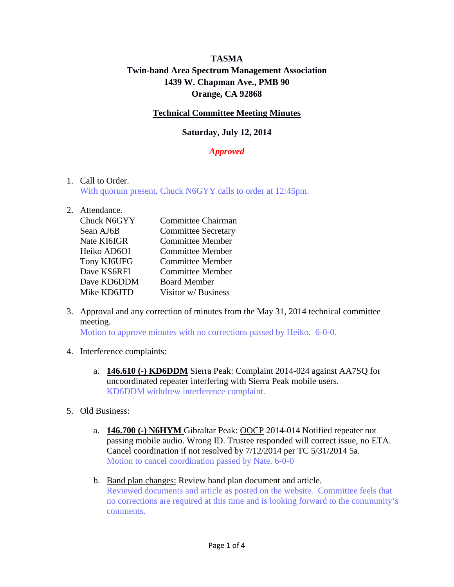# **TASMA Twin-band Area Spectrum Management Association 1439 W. Chapman Ave., PMB 90 Orange, CA 92868**

## **Technical Committee Meeting Minutes**

## **Saturday, July 12, 2014**

## *Approved*

#### 1. Call to Order.

With quorum present, Chuck N6GYY calls to order at 12:45pm.

#### 2. Attendance.

| Chuck N6GYY | Committee Chairman         |
|-------------|----------------------------|
| Sean AJ6B   | <b>Committee Secretary</b> |
| Nate KI6IGR | <b>Committee Member</b>    |
| Heiko AD6OI | <b>Committee Member</b>    |
| Tony KJ6UFG | <b>Committee Member</b>    |
| Dave KS6RFI | <b>Committee Member</b>    |
| Dave KD6DDM | <b>Board Member</b>        |
| Mike KD6JTD | Visitor w/ Business        |

3. Approval and any correction of minutes from the May 31, 2014 technical committee meeting.

Motion to approve minutes with no corrections passed by Heiko. 6-0-0.

- 4. Interference complaints:
	- a. **146.610 (-) KD6DDM** Sierra Peak: Complaint 2014-024 against AA7SQ for uncoordinated repeater interfering with Sierra Peak mobile users. KD6DDM withdrew interference complaint.
- 5. Old Business:
	- a. **146.700 (-) N6HYM** Gibraltar Peak: OOCP 2014-014 Notified repeater not passing mobile audio. Wrong ID. Trustee responded will correct issue, no ETA. Cancel coordination if not resolved by 7/12/2014 per TC 5/31/2014 5a. Motion to cancel coordination passed by Nate. 6-0-0
	- b. Band plan changes: Review band plan document and article. Reviewed documents and article as posted on the website. Committee feels that no corrections are required at this time and is looking forward to the community's comments.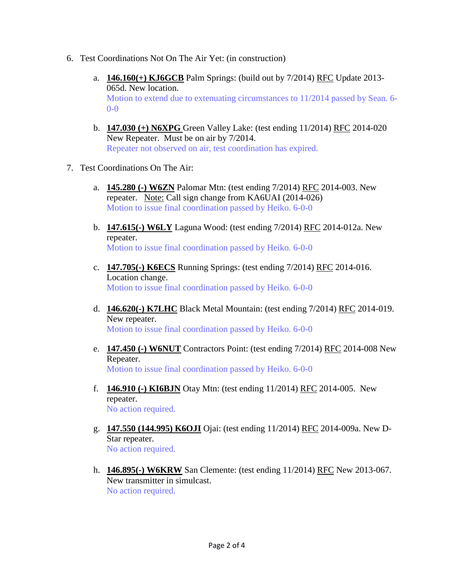- 6. Test Coordinations Not On The Air Yet: (in construction)
	- a. **146.160(+) KJ6GCB** Palm Springs: (build out by 7/2014) RFC Update 2013- 065d. New location. Motion to extend due to extenuating circumstances to 11/2014 passed by Sean. 6- 0-0
	- b. **147.030 (+) N6XPG** Green Valley Lake: (test ending 11/2014) RFC 2014-020 New Repeater. Must be on air by 7/2014. Repeater not observed on air, test coordination has expired.
- 7. Test Coordinations On The Air:
	- a. **145.280 (-) W6ZN** Palomar Mtn: (test ending 7/2014) RFC 2014-003. New repeater. Note: Call sign change from KA6UAI (2014-026) Motion to issue final coordination passed by Heiko. 6-0-0
	- b. **147.615(-) W6LY** Laguna Wood: (test ending 7/2014) RFC 2014-012a. New repeater. Motion to issue final coordination passed by Heiko. 6-0-0
	- c. **147.705(-) K6ECS** Running Springs: (test ending 7/2014) RFC 2014-016. Location change. Motion to issue final coordination passed by Heiko. 6-0-0
	- d. **146.620(-) K7LHC** Black Metal Mountain: (test ending 7/2014) RFC 2014-019. New repeater. Motion to issue final coordination passed by Heiko. 6-0-0
	- e. **147.450 (-) W6NUT** Contractors Point: (test ending 7/2014) RFC 2014-008 New Repeater. Motion to issue final coordination passed by Heiko. 6-0-0
	- f. **146.910 (-) KI6BJN** Otay Mtn: (test ending 11/2014) RFC 2014-005. New repeater. No action required.
	- g. **147.550 (144.995) K6OJI** Ojai: (test ending 11/2014) RFC 2014-009a. New D-Star repeater. No action required.
	- h. **146.895(-) W6KRW** San Clemente: (test ending 11/2014) RFC New 2013-067. New transmitter in simulcast. No action required.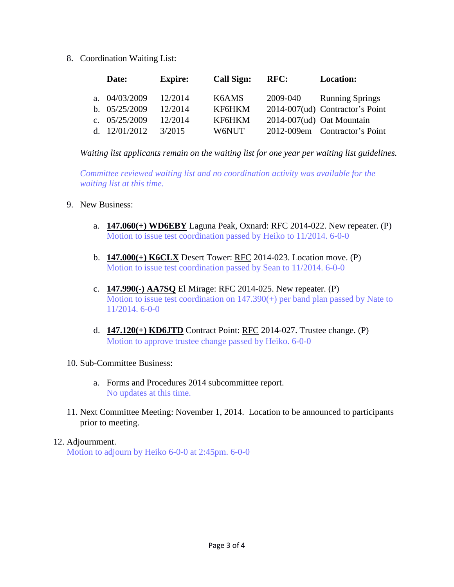8. Coordination Waiting List:

|  | Date:           | <b>Expire:</b> | <b>Call Sign:</b> | RFC:     | <b>Location:</b>                |
|--|-----------------|----------------|-------------------|----------|---------------------------------|
|  | a. $04/03/2009$ | 12/2014        | K6AMS             | 2009-040 | <b>Running Springs</b>          |
|  | b. $05/25/2009$ | 12/2014        | KF6HKM            |          | 2014-007(ud) Contractor's Point |
|  | c. $05/25/2009$ | 12/2014        | KF6HKM            |          | 2014-007(ud) Oat Mountain       |
|  | d. $12/01/2012$ | 3/2015         | W6NUT             |          | 2012-009em Contractor's Point   |

*Waiting list applicants remain on the waiting list for one year per waiting list guidelines.*

*Committee reviewed waiting list and no coordination activity was available for the waiting list at this time.*

- 9. New Business:
	- a. **147.060(+) WD6EBY** Laguna Peak, Oxnard: RFC 2014-022. New repeater. (P) Motion to issue test coordination passed by Heiko to 11/2014. 6-0-0
	- b. **147.000(+) K6CLX** Desert Tower: RFC 2014-023. Location move. (P) Motion to issue test coordination passed by Sean to 11/2014. 6-0-0
	- c. **147.990(-) AA7SQ** El Mirage: RFC 2014-025. New repeater. (P) Motion to issue test coordination on 147.390(+) per band plan passed by Nate to 11/2014. 6-0-0
	- d. **147.120(+) KD6JTD** Contract Point: RFC 2014-027. Trustee change. (P) Motion to approve trustee change passed by Heiko. 6-0-0
- 10. Sub-Committee Business:
	- a. Forms and Procedures 2014 subcommittee report. No updates at this time.
- 11. Next Committee Meeting: November 1, 2014. Location to be announced to participants prior to meeting.
- 12. Adjournment.

Motion to adjourn by Heiko 6-0-0 at 2:45pm. 6-0-0